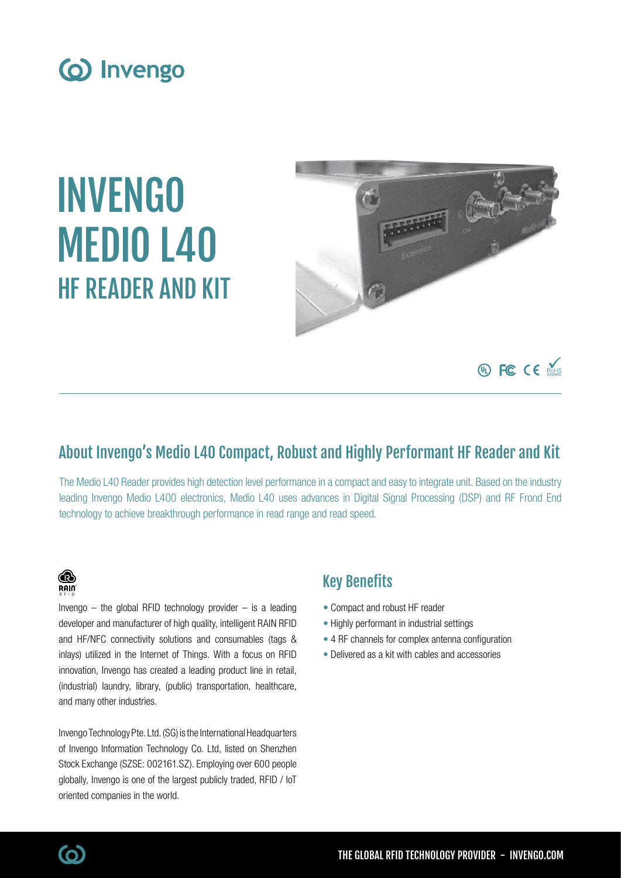

# INVENGO MEDIO L40 HF READER AND KIT



## About Invengo's Medio L40 Compact, Robust and Highly Performant HF Reader and Kit

The Medio L40 Reader provides high detection level performance in a compact and easy to integrate unit. Based on the industry leading Invengo Medio L400 electronics, Medio L40 uses advances in Digital Signal Processing (DSP) and RF Frond End technology to achieve breakthrough performance in read range and read speed.

## **B RAIN**

Invengo  $-$  the global RFID technology provider  $-$  is a leading developer and manufacturer of high quality, intelligent RAIN RFID and HF/NFC connectivity solutions and consumables (tags & inlays) utilized in the Internet of Things. With a focus on RFID innovation, Invengo has created a leading product line in retail, (industrial) laundry, library, (public) transportation, healthcare, and many other industries.

Invengo Technology Pte. Ltd. (SG) is the International Headquarters of Invengo Information Technology Co. Ltd, listed on Shenzhen Stock Exchange (SZSE: 002161.SZ). Employing over 600 people globally, Invengo is one of the largest publicly traded, RFID / IoT oriented companies in the world.

## Key Benefits

- Compact and robust HF reader
- Highly performant in industrial settings
- 4 RF channels for complex antenna configuration
- Delivered as a kit with cables and accessories